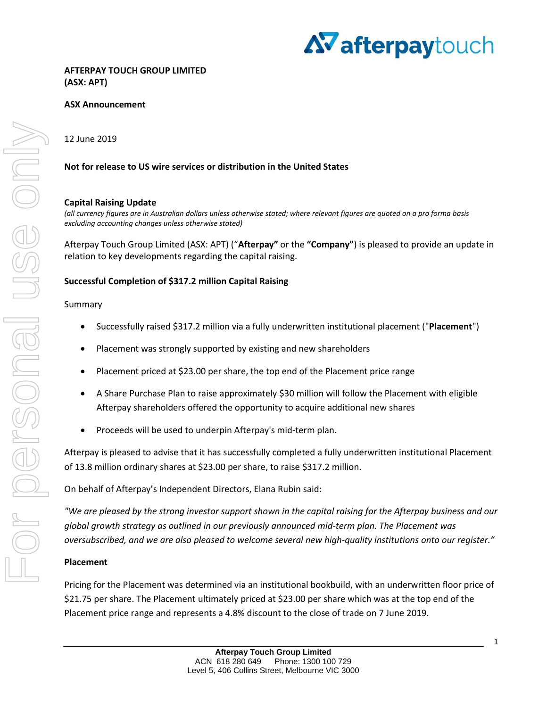

## **ASX Announcement**

12 June 2019

## **Not for release to US wire services or distribution in the United States**

## **Capital Raising Update**

*(all currency figures are in Australian dollars unless otherwise stated; where relevant figures are quoted on a pro forma basis excluding accounting changes unless otherwise stated)*

Afterpay Touch Group Limited (ASX: APT) ("**Afterpay"** or the **"Company"**) is pleased to provide an update in relation to key developments regarding the capital raising.

## **Successful Completion of \$317.2 million Capital Raising**

### Summary

- Successfully raised \$317.2 million via a fully underwritten institutional placement ("**Placement**")
- Placement was strongly supported by existing and new shareholders
- Placement priced at \$23.00 per share, the top end of the Placement price range
- A Share Purchase Plan to raise approximately \$30 million will follow the Placement with eligible Afterpay shareholders offered the opportunity to acquire additional new shares
- Proceeds will be used to underpin Afterpay's mid-term plan.

Afterpay is pleased to advise that it has successfully completed a fully underwritten institutional Placement of 13.8 million ordinary shares at \$23.00 per share, to raise \$317.2 million.

On behalf of Afterpay's Independent Directors, Elana Rubin said:

*"We are pleased by the strong investor support shown in the capital raising for the Afterpay business and our global growth strategy as outlined in our previously announced mid-term plan. The Placement was oversubscribed, and we are also pleased to welcome several new high-quality institutions onto our register."*

## **Placement**

Pricing for the Placement was determined via an institutional bookbuild, with an underwritten floor price of \$21.75 per share. The Placement ultimately priced at \$23.00 per share which was at the top end of the Placement price range and represents a 4.8% discount to the close of trade on 7 June 2019.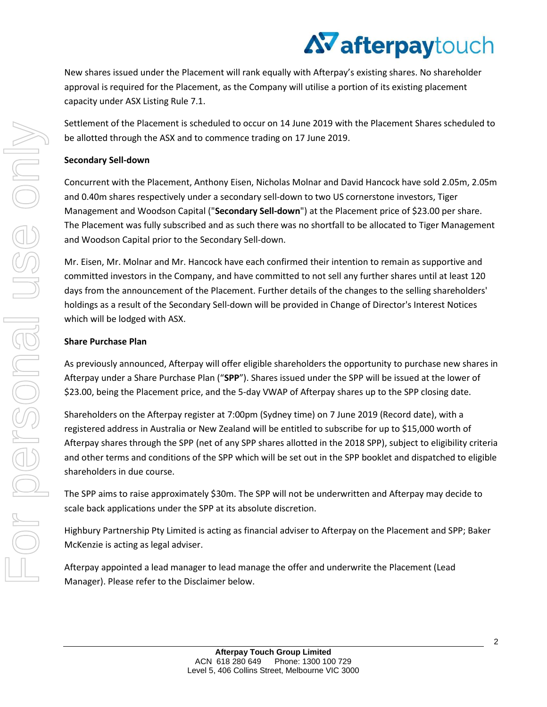# AV afterpaytouch

New shares issued under the Placement will rank equally with Afterpay's existing shares. No shareholder approval is required for the Placement, as the Company will utilise a portion of its existing placement capacity under ASX Listing Rule 7.1.

Settlement of the Placement is scheduled to occur on 14 June 2019 with the Placement Shares scheduled to be allotted through the ASX and to commence trading on 17 June 2019.

## **Secondary Sell-down**

Concurrent with the Placement, Anthony Eisen, Nicholas Molnar and David Hancock have sold 2.05m, 2.05m and 0.40m shares respectively under a secondary sell-down to two US cornerstone investors, Tiger Management and Woodson Capital ("**Secondary Sell-down**") at the Placement price of \$23.00 per share. The Placement was fully subscribed and as such there was no shortfall to be allocated to Tiger Management and Woodson Capital prior to the Secondary Sell-down.

Mr. Eisen, Mr. Molnar and Mr. Hancock have each confirmed their intention to remain as supportive and committed investors in the Company, and have committed to not sell any further shares until at least 120 days from the announcement of the Placement. Further details of the changes to the selling shareholders' holdings as a result of the Secondary Sell-down will be provided in Change of Director's Interest Notices which will be lodged with ASX.

## **Share Purchase Plan**

As previously announced, Afterpay will offer eligible shareholders the opportunity to purchase new shares in Afterpay under a Share Purchase Plan ("**SPP**"). Shares issued under the SPP will be issued at the lower of \$23.00, being the Placement price, and the 5-day VWAP of Afterpay shares up to the SPP closing date.

Shareholders on the Afterpay register at 7:00pm (Sydney time) on 7 June 2019 (Record date), with a registered address in Australia or New Zealand will be entitled to subscribe for up to \$15,000 worth of Afterpay shares through the SPP (net of any SPP shares allotted in the 2018 SPP), subject to eligibility criteria and other terms and conditions of the SPP which will be set out in the SPP booklet and dispatched to eligible shareholders in due course.

The SPP aims to raise approximately \$30m. The SPP will not be underwritten and Afterpay may decide to scale back applications under the SPP at its absolute discretion.

Highbury Partnership Pty Limited is acting as financial adviser to Afterpay on the Placement and SPP; Baker McKenzie is acting as legal adviser.

Afterpay appointed a lead manager to lead manage the offer and underwrite the Placement (Lead Manager). Please refer to the Disclaimer below.